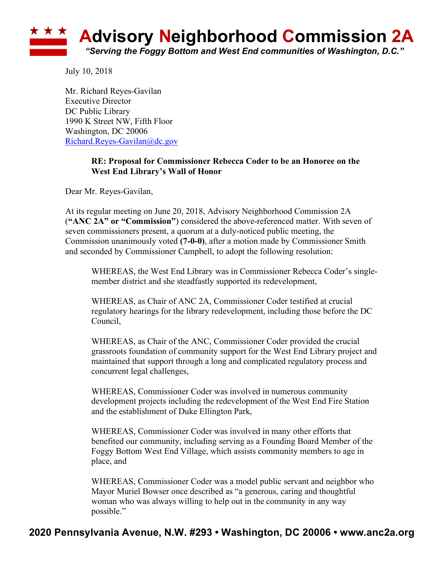

July 10, 2018

Mr. Richard Reyes-Gavilan Executive Director DC Public Library 1990 K Street NW, Fifth Floor Washington, DC 20006 Richard.Reyes-Gavilan@dc.gov

## **RE: Proposal for Commissioner Rebecca Coder to be an Honoree on the West End Library's Wall of Honor**

Dear Mr. Reyes-Gavilan,

At its regular meeting on June 20, 2018, Advisory Neighborhood Commission 2A (**"ANC 2A" or "Commission"**) considered the above-referenced matter. With seven of seven commissioners present, a quorum at a duly-noticed public meeting, the Commission unanimously voted **(7-0-0)**, after a motion made by Commissioner Smith and seconded by Commissioner Campbell, to adopt the following resolution:

WHEREAS, the West End Library was in Commissioner Rebecca Coder's singlemember district and she steadfastly supported its redevelopment,

WHEREAS, as Chair of ANC 2A, Commissioner Coder testified at crucial regulatory hearings for the library redevelopment, including those before the DC Council,

WHEREAS, as Chair of the ANC, Commissioner Coder provided the crucial grassroots foundation of community support for the West End Library project and maintained that support through a long and complicated regulatory process and concurrent legal challenges,

WHEREAS, Commissioner Coder was involved in numerous community development projects including the redevelopment of the West End Fire Station and the establishment of Duke Ellington Park,

WHEREAS, Commissioner Coder was involved in many other efforts that benefited our community, including serving as a Founding Board Member of the Foggy Bottom West End Village, which assists community members to age in place, and

WHEREAS, Commissioner Coder was a model public servant and neighbor who Mayor Muriel Bowser once described as "a generous, caring and thoughtful woman who was always willing to help out in the community in any way possible."